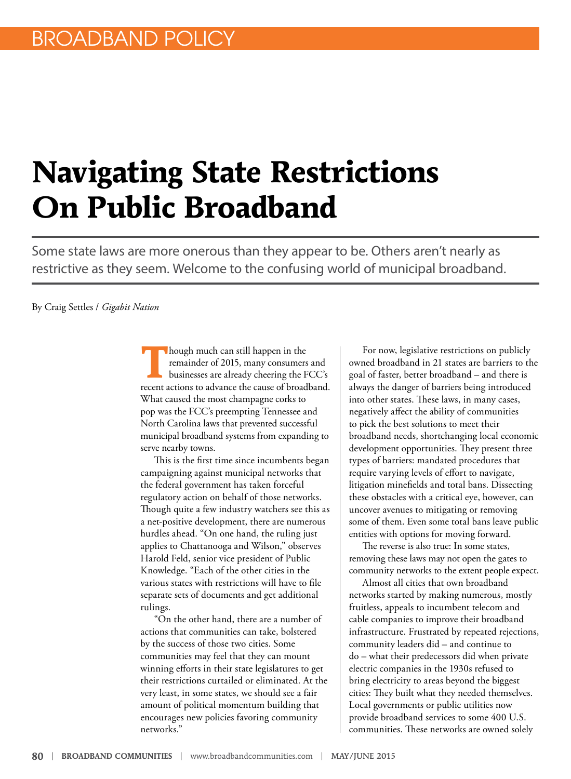# **Navigating State Restrictions On Public Broadband**

Some state laws are more onerous than they appear to be. Others aren't nearly as restrictive as they seem. Welcome to the confusing world of municipal broadband.

By Craig Settles / *Gigabit Nation*

**T**hough much can still happen in the remainder of 2015, many consumers and businesses are already cheering the FCC's recent actions to advance the cause of broadband. What caused the most champagne corks to pop was the FCC's preempting Tennessee and North Carolina laws that prevented successful municipal broadband systems from expanding to serve nearby towns.

This is the first time since incumbents began campaigning against municipal networks that the federal government has taken forceful regulatory action on behalf of those networks. Though quite a few industry watchers see this as a net-positive development, there are numerous hurdles ahead. "On one hand, the ruling just applies to Chattanooga and Wilson," observes Harold Feld, senior vice president of Public Knowledge. "Each of the other cities in the various states with restrictions will have to file separate sets of documents and get additional rulings.

"On the other hand, there are a number of actions that communities can take, bolstered by the success of those two cities. Some communities may feel that they can mount winning efforts in their state legislatures to get their restrictions curtailed or eliminated. At the very least, in some states, we should see a fair amount of political momentum building that encourages new policies favoring community networks."

For now, legislative restrictions on publicly owned broadband in 21 states are barriers to the goal of faster, better broadband – and there is always the danger of barriers being introduced into other states. These laws, in many cases, negatively affect the ability of communities to pick the best solutions to meet their broadband needs, shortchanging local economic development opportunities. They present three types of barriers: mandated procedures that require varying levels of effort to navigate, litigation minefields and total bans. Dissecting these obstacles with a critical eye, however, can uncover avenues to mitigating or removing some of them. Even some total bans leave public entities with options for moving forward.

The reverse is also true: In some states, removing these laws may not open the gates to community networks to the extent people expect.

Almost all cities that own broadband networks started by making numerous, mostly fruitless, appeals to incumbent telecom and cable companies to improve their broadband infrastructure. Frustrated by repeated rejections, community leaders did – and continue to do – what their predecessors did when private electric companies in the 1930s refused to bring electricity to areas beyond the biggest cities: They built what they needed themselves. Local governments or public utilities now provide broadband services to some 400 U.S. communities. These networks are owned solely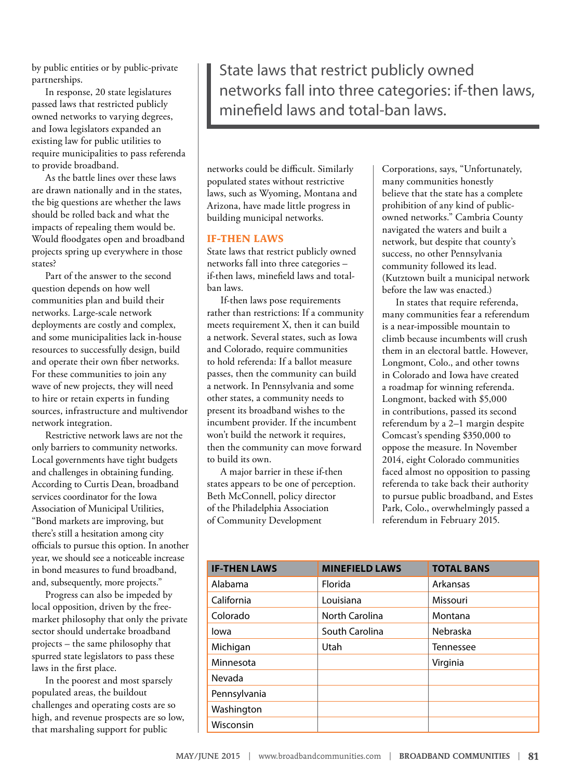by public entities or by public‐private partnerships.

In response, 20 state legislatures passed laws that restricted publicly owned networks to varying degrees, and Iowa legislators expanded an existing law for public utilities to require municipalities to pass referenda to provide broadband.

As the battle lines over these laws are drawn nationally and in the states, the big questions are whether the laws should be rolled back and what the impacts of repealing them would be. Would floodgates open and broadband projects spring up everywhere in those states?

Part of the answer to the second question depends on how well communities plan and build their networks. Large‐scale network deployments are costly and complex, and some municipalities lack in‐house resources to successfully design, build and operate their own fiber networks. For these communities to join any wave of new projects, they will need to hire or retain experts in funding sources, infrastructure and multivendor network integration.

Restrictive network laws are not the only barriers to community networks. Local governments have tight budgets and challenges in obtaining funding. According to Curtis Dean, broadband services coordinator for the Iowa Association of Municipal Utilities, "Bond markets are improving, but there's still a hesitation among city officials to pursue this option. In another year, we should see a noticeable increase in bond measures to fund broadband, and, subsequently, more projects."

Progress can also be impeded by local opposition, driven by the free‐ market philosophy that only the private sector should undertake broadband projects – the same philosophy that spurred state legislators to pass these laws in the first place.

In the poorest and most sparsely populated areas, the buildout challenges and operating costs are so high, and revenue prospects are so low, that marshaling support for public

State laws that restrict publicly owned networks fall into three categories: if-then laws, minefield laws and total-ban laws.

networks could be difficult. Similarly populated states without restrictive laws, such as Wyoming, Montana and Arizona, have made little progress in building municipal networks.

#### **IF-THEN LAWS**

State laws that restrict publicly owned networks fall into three categories – if‐then laws, minefield laws and total‐ ban laws.

If-then laws pose requirements rather than restrictions: If a community meets requirement X, then it can build a network. Several states, such as Iowa and Colorado, require communities to hold referenda: If a ballot measure passes, then the community can build a network. In Pennsylvania and some other states, a community needs to present its broadband wishes to the incumbent provider. If the incumbent won't build the network it requires, then the community can move forward to build its own.

A major barrier in these if‐then states appears to be one of perception. Beth McConnell, policy director of the Philadelphia Association of Community Development

Corporations, says, "Unfortunately, many communities honestly believe that the state has a complete prohibition of any kind of public‐ owned networks." Cambria County navigated the waters and built a network, but despite that county's success, no other Pennsylvania community followed its lead. (Kutztown built a municipal network before the law was enacted.)

In states that require referenda, many communities fear a referendum is a near-impossible mountain to climb because incumbents will crush them in an electoral battle. However, Longmont, Colo., and other towns in Colorado and Iowa have created a roadmap for winning referenda. Longmont, backed with \$5,000 in contributions, passed its second referendum by a 2–1 margin despite Comcast's spending \$350,000 to oppose the measure. In November 2014, eight Colorado communities faced almost no opposition to passing referenda to take back their authority to pursue public broadband, and Estes Park, Colo., overwhelmingly passed a referendum in February 2015.

| <b>IF-THEN LAWS</b> | <b>MINEFIELD LAWS</b> | <b>TOTAL BANS</b> |
|---------------------|-----------------------|-------------------|
| Alabama             | Florida               | <b>Arkansas</b>   |
| California          | Louisiana             | Missouri          |
| Colorado            | North Carolina        | Montana           |
| lowa                | South Carolina        | Nebraska          |
| Michigan            | Utah                  | <b>Tennessee</b>  |
| Minnesota           |                       | Virginia          |
| Nevada              |                       |                   |
| Pennsylvania        |                       |                   |
| Washington          |                       |                   |
| Wisconsin           |                       |                   |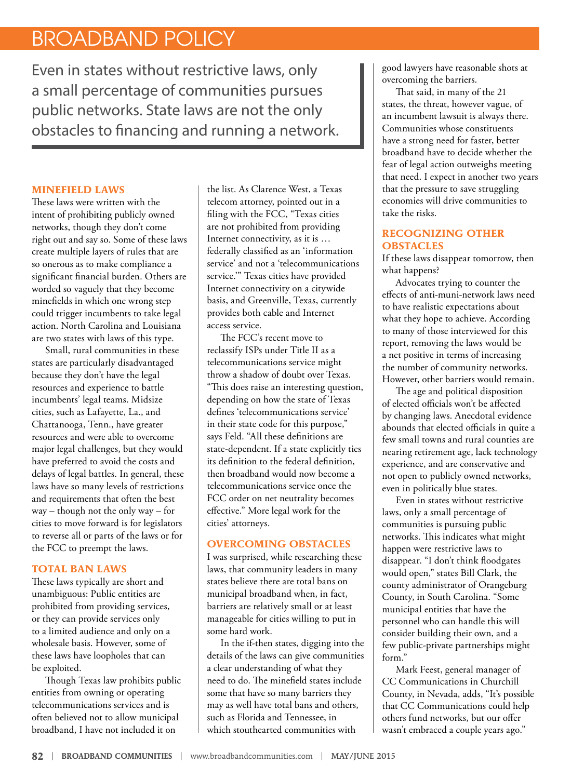## BROADBAND POLICY

Even in states without restrictive laws, only a small percentage of communities pursues public networks. State laws are not the only obstacles to financing and running a network.

#### **MINEFIELD LAWS**

These laws were written with the intent of prohibiting publicly owned networks, though they don't come right out and say so. Some of these laws create multiple layers of rules that are so onerous as to make compliance a significant financial burden. Others are worded so vaguely that they become minefields in which one wrong step could trigger incumbents to take legal action. North Carolina and Louisiana are two states with laws of this type.

Small, rural communities in these states are particularly disadvantaged because they don't have the legal resources and experience to battle incumbents' legal teams. Midsize cities, such as Lafayette, La., and Chattanooga, Tenn., have greater resources and were able to overcome major legal challenges, but they would have preferred to avoid the costs and delays of legal battles. In general, these laws have so many levels of restrictions and requirements that often the best way – though not the only way – for cities to move forward is for legislators to reverse all or parts of the laws or for the FCC to preempt the laws.

## **TOTAL BAN LAWS**

These laws typically are short and unambiguous: Public entities are prohibited from providing services, or they can provide services only to a limited audience and only on a wholesale basis. However, some of these laws have loopholes that can be exploited.

Though Texas law prohibits public entities from owning or operating telecommunications services and is often believed not to allow municipal broadband, I have not included it on

the list. As Clarence West, a Texas telecom attorney, pointed out in a filing with the FCC, "Texas cities are not prohibited from providing Internet connectivity, as it is … federally classified as an 'information service' and not a 'telecommunications service.'" Texas cities have provided Internet connectivity on a citywide basis, and Greenville, Texas, currently provides both cable and Internet access service.

The FCC's recent move to reclassify ISPs under Title II as a telecommunications service might throw a shadow of doubt over Texas. "This does raise an interesting question, depending on how the state of Texas defines 'telecommunications service' in their state code for this purpose," says Feld. "All these definitions are state-dependent. If a state explicitly ties its definition to the federal definition, then broadband would now become a telecommunications service once the FCC order on net neutrality becomes effective." More legal work for the cities' attorneys.

## **OVERCOMING OBSTACLES**

I was surprised, while researching these laws, that community leaders in many states believe there are total bans on municipal broadband when, in fact, barriers are relatively small or at least manageable for cities willing to put in some hard work.

In the if-then states, digging into the details of the laws can give communities a clear understanding of what they need to do. The minefield states include some that have so many barriers they may as well have total bans and others, such as Florida and Tennessee, in which stouthearted communities with

good lawyers have reasonable shots at overcoming the barriers.

That said, in many of the 21 states, the threat, however vague, of an incumbent lawsuit is always there. Communities whose constituents have a strong need for faster, better broadband have to decide whether the fear of legal action outweighs meeting that need. I expect in another two years that the pressure to save struggling economies will drive communities to take the risks.

## **RECOGNIZING OTHER OBSTACLES**

If these laws disappear tomorrow, then what happens?

Advocates trying to counter the effects of anti‐muni-network laws need to have realistic expectations about what they hope to achieve. According to many of those interviewed for this report, removing the laws would be a net positive in terms of increasing the number of community networks. However, other barriers would remain.

The age and political disposition of elected officials won't be affected by changing laws. Anecdotal evidence abounds that elected officials in quite a few small towns and rural counties are nearing retirement age, lack technology experience, and are conservative and not open to publicly owned networks, even in politically blue states.

Even in states without restrictive laws, only a small percentage of communities is pursuing public networks. This indicates what might happen were restrictive laws to disappear. "I don't think floodgates would open," states Bill Clark, the county administrator of Orangeburg County, in South Carolina. "Some municipal entities that have the personnel who can handle this will consider building their own, and a few public‐private partnerships might form."

Mark Feest, general manager of CC Communications in Churchill County, in Nevada, adds, "It's possible that CC Communications could help others fund networks, but our offer wasn't embraced a couple years ago."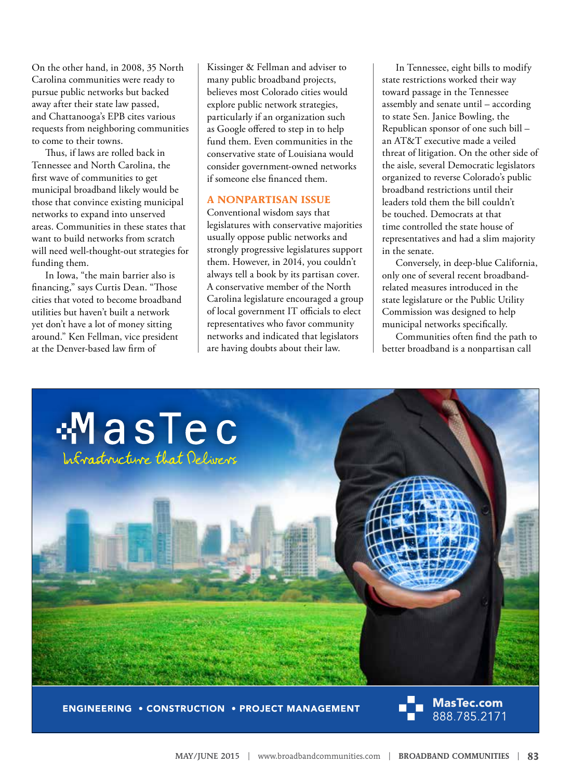On the other hand, in 2008, 35 North Carolina communities were ready to pursue public networks but backed away after their state law passed, and Chattanooga's EPB cites various requests from neighboring communities to come to their towns.

Thus, if laws are rolled back in Tennessee and North Carolina, the first wave of communities to get municipal broadband likely would be those that convince existing municipal networks to expand into unserved areas. Communities in these states that want to build networks from scratch will need well-thought-out strategies for funding them.

In Iowa, "the main barrier also is financing," says Curtis Dean. "Those cities that voted to become broadband utilities but haven't built a network yet don't have a lot of money sitting around." Ken Fellman, vice president at the Denver‐based law firm of

Kissinger & Fellman and adviser to many public broadband projects, believes most Colorado cities would explore public network strategies, particularly if an organization such as Google offered to step in to help fund them. Even communities in the conservative state of Louisiana would consider government‐owned networks if someone else financed them.

#### **A NONPARTISAN ISSUE**

Conventional wisdom says that legislatures with conservative majorities usually oppose public networks and strongly progressive legislatures support them. However, in 2014, you couldn't always tell a book by its partisan cover. A conservative member of the North Carolina legislature encouraged a group of local government IT officials to elect representatives who favor community networks and indicated that legislators are having doubts about their law.

In Tennessee, eight bills to modify state restrictions worked their way toward passage in the Tennessee assembly and senate until – according to state Sen. Janice Bowling, the Republican sponsor of one such bill – an AT&T executive made a veiled threat of litigation. On the other side of the aisle, several Democratic legislators organized to reverse Colorado's public broadband restrictions until their leaders told them the bill couldn't be touched. Democrats at that time controlled the state house of representatives and had a slim majority in the senate.

Conversely, in deep-blue California, only one of several recent broadbandrelated measures introduced in the state legislature or the Public Utility Commission was designed to help municipal networks specifically.

Communities often find the path to better broadband is a nonpartisan call



**ENGINEERING . CONSTRUCTION . PROJECT MANAGEMENT**